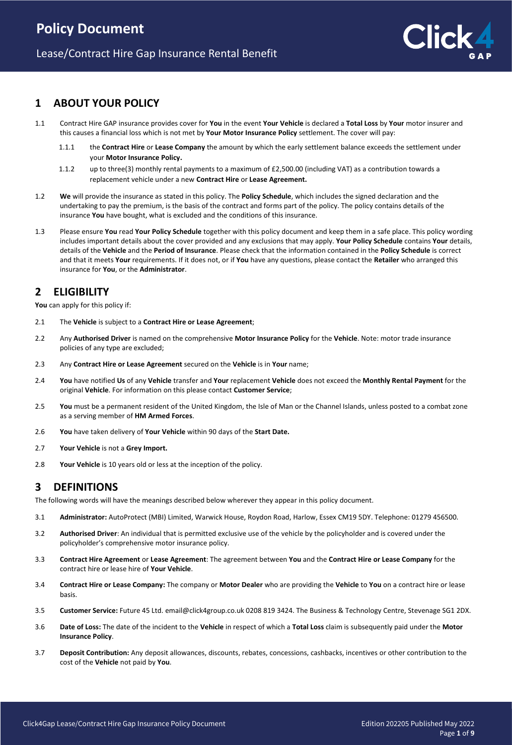## **1 ABOUT YOUR POLICY**

- 1.1 Contract Hire GAP insurance provides cover for **You** in the event **Your Vehicle** is declared a **Total Loss** by **Your** motor insurer and this causes a financial loss which is not met by **Your Motor Insurance Policy** settlement. The cover will pay:
	- 1.1.1 the **Contract Hire** or **Lease Company** the amount by which the early settlement balance exceeds the settlement under your **Motor Insurance Policy.**
	- 1.1.2 up to three(3) monthly rental payments to a maximum of £2,500.00 (including VAT) as a contribution towards a replacement vehicle under a new **Contract Hire** or **Lease Agreement.**
- 1.2 **We** will provide the insurance as stated in this policy. The **Policy Schedule**, which includes the signed declaration and the undertaking to pay the premium, is the basis of the contract and forms part of the policy. The policy contains details of the insurance **You** have bought, what is excluded and the conditions of this insurance.
- 1.3 Please ensure **You** read **Your Policy Schedule** together with this policy document and keep them in a safe place. This policy wording includes important details about the cover provided and any exclusions that may apply. **Your Policy Schedule** contains **Your** details, details of the **Vehicle** and the **Period of Insurance**. Please check that the information contained in the **Policy Schedule** is correct and that it meets **Your** requirements. If it does not, or if **You** have any questions, please contact the **Retailer** who arranged this insurance for **You**, or the **Administrator**.

# **2 ELIGIBILITY**

**You** can apply for this policy if:

- 2.1 The **Vehicle** is subject to a **Contract Hire or Lease Agreement**;
- 2.2 Any **Authorised Driver** is named on the comprehensive **Motor Insurance Policy** for the **Vehicle**. Note: motor trade insurance policies of any type are excluded;
- 2.3 Any **Contract Hire or Lease Agreement** secured on the **Vehicle** is in **Your** name;
- 2.4 **You** have notified **Us** of any **Vehicle** transfer and **Your** replacement **Vehicle** does not exceed the **Monthly Rental Payment** for the original **Vehicle**. For information on this please contact **Customer Service**;
- 2.5 **You** must be a permanent resident of the United Kingdom, the Isle of Man or the Channel Islands, unless posted to a combat zone as a serving member of **HM Armed Forces**.
- 2.6 **You** have taken delivery of **Your Vehicle** within 90 days of the **Start Date.**
- 2.7 **Your Vehicle** is not a **Grey Import.**
- 2.8 **Your Vehicle** is 10 years old or less at the inception of the policy.

## **3 DEFINITIONS**

The following words will have the meanings described below wherever they appear in this policy document.

- 3.1 **Administrator:** AutoProtect (MBI) Limited, Warwick House, Roydon Road, Harlow, Essex CM19 5DY. Telephone: 01279 456500.
- 3.2 **Authorised Driver**: An individual that is permitted exclusive use of the vehicle by the policyholder and is covered under the policyholder's comprehensive motor insurance policy.
- 3.3 **Contract Hire Agreement** or **Lease Agreement**: The agreement between **You** and the **Contract Hire or Lease Company** for the contract hire or lease hire of **Your Vehicle**.
- 3.4 **Contract Hire or Lease Company:** The company or **Motor Dealer** who are providing the **Vehicle** to **You** on a contract hire or lease basis.
- 3.5 **Customer Service:** Future 45 Ltd. email@click4group.co.uk 0208 819 3424. The Business & Technology Centre, Stevenage SG1 2DX.
- 3.6 **Date of Loss:** The date of the incident to the **Vehicle** in respect of which a **Total Loss** claim is subsequently paid under the **Motor Insurance Policy**.
- 3.7 **Deposit Contribution:** Any deposit allowances, discounts, rebates, concessions, cashbacks, incentives or other contribution to the cost of the **Vehicle** not paid by **You**.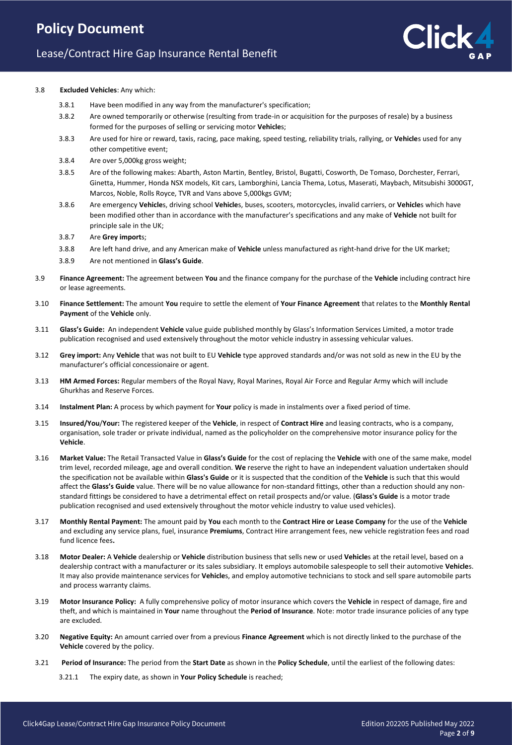# Lease/Contract Hire Gap Insurance Rental Benefit

#### 3.8 **Excluded Vehicles**: Any which:

- 3.8.1 Have been modified in any way from the manufacturer's specification;
- 3.8.2 Are owned temporarily or otherwise (resulting from trade-in or acquisition for the purposes of resale) by a business formed for the purposes of selling or servicing motor **Vehicle**s;
- 3.8.3 Are used for hire or reward, taxis, racing, pace making, speed testing, reliability trials, rallying, or **Vehicle**s used for any other competitive event;
- 3.8.4 Are over 5,000kg gross weight;
- 3.8.5 Are of the following makes: Abarth, Aston Martin, Bentley, Bristol, Bugatti, Cosworth, De Tomaso, Dorchester, Ferrari, Ginetta, Hummer, Honda NSX models, Kit cars, Lamborghini, Lancia Thema, Lotus, Maserati, Maybach, Mitsubishi 3000GT, Marcos, Noble, Rolls Royce, TVR and Vans above 5,000kgs GVM;
- 3.8.6 Are emergency **Vehicle**s, driving school **Vehicle**s, buses, scooters, motorcycles, invalid carriers, or **Vehicle**s which have been modified other than in accordance with the manufacturer's specifications and any make of **Vehicle** not built for principle sale in the UK;
- 3.8.7 Are **Grey import**s;
- 3.8.8 Are left hand drive, and any American make of **Vehicle** unless manufactured as right-hand drive for the UK market;
- 3.8.9 Are not mentioned in **Glass's Guide**.
- 3.9 **Finance Agreement:** The agreement between **You** and the finance company for the purchase of the **Vehicle** including contract hire or lease agreements.
- 3.10 **Finance Settlement:** The amount **You** require to settle the element of **Your Finance Agreement** that relates to the **Monthly Rental Payment** of the **Vehicle** only.
- 3.11 **Glass's Guide:** An independent **Vehicle** value guide published monthly by Glass's Information Services Limited, a motor trade publication recognised and used extensively throughout the motor vehicle industry in assessing vehicular values.
- 3.12 **Grey import:** Any **Vehicle** that was not built to EU **Vehicle** type approved standards and/or was not sold as new in the EU by the manufacturer's official concessionaire or agent.
- 3.13 **HM Armed Forces:** Regular members of the Royal Navy, Royal Marines, Royal Air Force and Regular Army which will include Ghurkhas and Reserve Forces.
- 3.14 **Instalment Plan:** A process by which payment for **Your** policy is made in instalments over a fixed period of time.
- 3.15 **Insured/You**/**Your:** The registered keeper of the **Vehicle**, in respect of **Contract Hire** and leasing contracts, who is a company, organisation, sole trader or private individual, named as the policyholder on the comprehensive motor insurance policy for the **Vehicle**.
- 3.16 **Market Value:** The Retail Transacted Value in **Glass's Guide** for the cost of replacing the **Vehicle** with one of the same make, model trim level, recorded mileage, age and overall condition. **We** reserve the right to have an independent valuation undertaken should the specification not be available within **Glass's Guide** or it is suspected that the condition of the **Vehicle** is such that this would affect the **Glass's Guide** value. There will be no value allowance for non-standard fittings, other than a reduction should any nonstandard fittings be considered to have a detrimental effect on retail prospects and/or value. (**Glass's Guide** is a motor trade publication recognised and used extensively throughout the motor vehicle industry to value used vehicles).
- 3.17 **Monthly Rental Payment:** The amount paid by **You** each month to the **Contract Hire or Lease Company** for the use of the **Vehicle** and excluding any service plans, fuel, insurance **Premiums**, Contract Hire arrangement fees, new vehicle registration fees and road fund licence fees**.**
- 3.18 **Motor Dealer:** A **Vehicle** dealership or **Vehicle** distribution business that sells new or used **Vehicle**s at the retail level, based on a dealership contract with a manufacturer or its sales subsidiary. It employs automobile salespeople to sell their automotive **Vehicle**s. It may also provide maintenance services for **Vehicle**s, and employ automotive technicians to stock and sell spare automobile parts and process warranty claims.
- 3.19 **Motor Insurance Policy:** A fully comprehensive policy of motor insurance which covers the **Vehicle** in respect of damage, fire and theft, and which is maintained in **Your** name throughout the **Period of Insurance**. Note: motor trade insurance policies of any type are excluded.
- 3.20 **Negative Equity:** An amount carried over from a previous **Finance Agreement** which is not directly linked to the purchase of the **Vehicle** covered by the policy.
- 3.21 **Period of Insurance:** The period from the **Start Date** as shown in the **Policy Schedule**, until the earliest of the following dates:
	- 3.21.1 The expiry date, as shown in **Your Policy Schedule** is reached;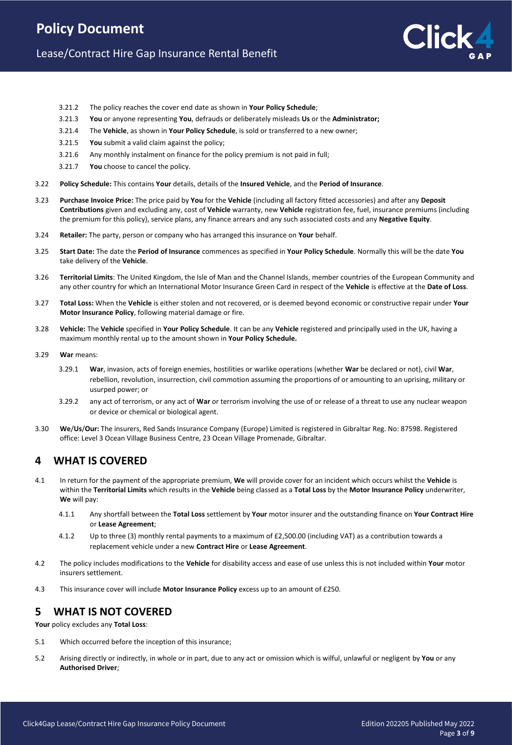## Lease/Contract Hire Gap Insurance Rental Benefit

- 3.21.2 The policy reaches the cover end date as shown in **Your Policy Schedule**;
- 3.21.3 **You** or anyone representing **You**, defrauds or deliberately misleads **Us** or the **Administrator;**
- 3.21.4 The **Vehicle**, as shown in **Your Policy Schedule**, is sold or transferred to a new owner;
- 3.21.5 **You** submit a valid claim against the policy;
- 3.21.6 Any monthly instalment on finance for the policy premium is not paid in full;
- 3.21.7 **You** choose to cancel the policy.
- 3.22 **Policy Schedule:** This contains **Your** details, details of the **Insured Vehicle**, and the **Period of Insurance**.
- 3.23 **Purchase Invoice Price:** The price paid by **You** for the **Vehicle** (including all factory fitted accessories) and after any **Deposit Contributions** given and excluding any, cost of **Vehicle** warranty, new **Vehicle** registration fee, fuel, insurance premiums (including the premium for this policy), service plans, any finance arrears and any such associated costs and any **Negative Equity**.
- 3.24 **Retailer:** The party, person or company who has arranged this insurance on **Your** behalf.
- 3.25 **Start Date:** The date the **Period of Insurance** commences as specified in **Your Policy Schedule**. Normally this will be the date **You** take delivery of the **Vehicle**.
- 3.26 **Territorial Limits**: The United Kingdom, the Isle of Man and the Channel Islands, member countries of the European Community and any other country for which an International Motor Insurance Green Card in respect of the **Vehicle** is effective at the **Date of Loss**.
- 3.27 **Total Loss:** When the **Vehicle** is either stolen and not recovered, or is deemed beyond economic or constructive repair under **Your Motor Insurance Policy**, following material damage or fire.
- 3.28 **Vehicle:** The **Vehicle** specified in **Your Policy Schedule**. It can be any **Vehicle** registered and principally used in the UK, having a maximum monthly rental up to the amount shown in **Your Policy Schedule.**
- 3.29 **War** means:
	- 3.29.1 **War**, invasion, acts of foreign enemies, hostilities or warlike operations (whether **War** be declared or not), civil **War**, rebellion, revolution, insurrection, civil commotion assuming the proportions of or amounting to an uprising, military or usurped power; or
	- 3.29.2 any act of terrorism, or any act of **War** or terrorism involving the use of or release of a threat to use any nuclear weapon or device or chemical or biological agent.
- 3.30 **We**/**Us**/**Our:** The insurers, Red Sands Insurance Company (Europe) Limited is registered in Gibraltar Reg. No: 87598. Registered office: Level 3 Ocean Village Business Centre, 23 Ocean Village Promenade, Gibraltar.

### **4 WHAT IS COVERED**

- 4.1 In return for the payment of the appropriate premium, **We** will provide cover for an incident which occurs whilst the **Vehicle** is within the **Territorial Limits** which results in the **Vehicle** being classed as a **Total Loss** by the **Motor Insurance Policy** underwriter, **We** will pay:
	- 4.1.1 Any shortfall between the **Total Loss** settlement by **Your** motor insurer and the outstanding finance on **Your Contract Hire** or **Lease Agreement**;
	- 4.1.2 Up to three (3) monthly rental payments to a maximum of £2,500.00 (including VAT) as a contribution towards a replacement vehicle under a new **Contract Hire** or **Lease Agreement**.
- 4.2 The policy includes modifications to the **Vehicle** for disability access and ease of use unless this is not included within **Your** motor insurers settlement.
- 4.3 This insurance cover will include **Motor Insurance Policy** excess up to an amount of £250.

## **5 WHAT IS NOT COVERED**

**Your** policy excludes any **Total Loss**:

- 5.1 Which occurred before the inception of this insurance;
- 5.2 Arising directly or indirectly, in whole or in part, due to any act or omission which is wilful, unlawful or negligent by **You** or any **Authorised Driver**;

ick.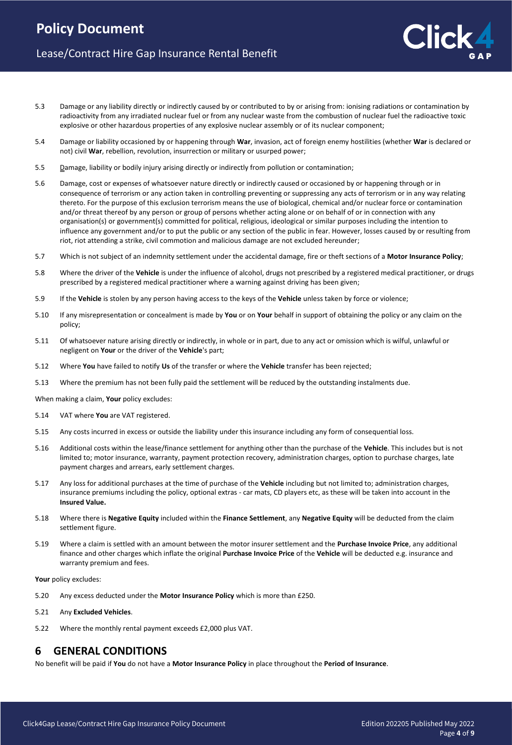# Lease/Contract Hire Gap Insurance Rental Benefit

- 5.3 Damage or any liability directly or indirectly caused by or contributed to by or arising from: ionising radiations or contamination by radioactivity from any irradiated nuclear fuel or from any nuclear waste from the combustion of nuclear fuel the radioactive toxic explosive or other hazardous properties of any explosive nuclear assembly or of its nuclear component;
- 5.4 Damage or liability occasioned by or happening through **War**, invasion, act of foreign enemy hostilities (whether **War** is declared or not) civil **War**, rebellion, revolution, insurrection or military or usurped power;
- 5.5 **Damage, liability or bodily injury arising directly or indirectly from pollution or contamination;**
- 5.6 Damage, cost or expenses of whatsoever nature directly or indirectly caused or occasioned by or happening through or in consequence of terrorism or any action taken in controlling preventing or suppressing any acts of terrorism or in any way relating thereto. For the purpose of this exclusion terrorism means the use of biological, chemical and/or nuclear force or contamination and/or threat thereof by any person or group of persons whether acting alone or on behalf of or in connection with any organisation(s) or government(s) committed for political, religious, ideological or similar purposes including the intention to influence any government and/or to put the public or any section of the public in fear. However, losses caused by or resulting from riot, riot attending a strike, civil commotion and malicious damage are not excluded hereunder;
- 5.7 Which is not subject of an indemnity settlement under the accidental damage, fire or theft sections of a **Motor Insurance Policy**;
- 5.8 Where the driver of the **Vehicle** is under the influence of alcohol, drugs not prescribed by a registered medical practitioner, or drugs prescribed by a registered medical practitioner where a warning against driving has been given;
- 5.9 If the **Vehicle** is stolen by any person having access to the keys of the **Vehicle** unless taken by force or violence;
- 5.10 If any misrepresentation or concealment is made by **You** or on **Your** behalf in support of obtaining the policy or any claim on the policy;
- 5.11 Of whatsoever nature arising directly or indirectly, in whole or in part, due to any act or omission which is wilful, unlawful or negligent on **Your** or the driver of the **Vehicle**'s part;
- 5.12 Where **You** have failed to notify **Us** of the transfer or where the **Vehicle** transfer has been rejected;
- 5.13 Where the premium has not been fully paid the settlement will be reduced by the outstanding instalments due.

When making a claim, **Your** policy excludes:

- 5.14 VAT where **You** are VAT registered.
- 5.15 Any costs incurred in excess or outside the liability under this insurance including any form of consequential loss.
- 5.16 Additional costs within the lease/finance settlement for anything other than the purchase of the **Vehicle**. This includes but is not limited to; motor insurance, warranty, payment protection recovery, administration charges, option to purchase charges, late payment charges and arrears, early settlement charges.
- 5.17 Any loss for additional purchases at the time of purchase of the **Vehicle** including but not limited to; administration charges, insurance premiums including the policy, optional extras - car mats, CD players etc, as these will be taken into account in the **Insured Value.**
- 5.18 Where there is **Negative Equity** included within the **Finance Settlement**, any **Negative Equity** will be deducted from the claim settlement figure.
- 5.19 Where a claim is settled with an amount between the motor insurer settlement and the **Purchase Invoice Price**, any additional finance and other charges which inflate the original **Purchase Invoice Price** of the **Vehicle** will be deducted e.g. insurance and warranty premium and fees.

Your policy excludes:

- 5.20 Any excess deducted under the **Motor Insurance Policy** which is more than £250.
- 5.21 Any **Excluded Vehicles**.
- 5.22 Where the monthly rental payment exceeds £2,000 plus VAT.

### **6 GENERAL CONDITIONS**

No benefit will be paid if **You** do not have a **Motor Insurance Policy** in place throughout the **Period of Insurance**.

lick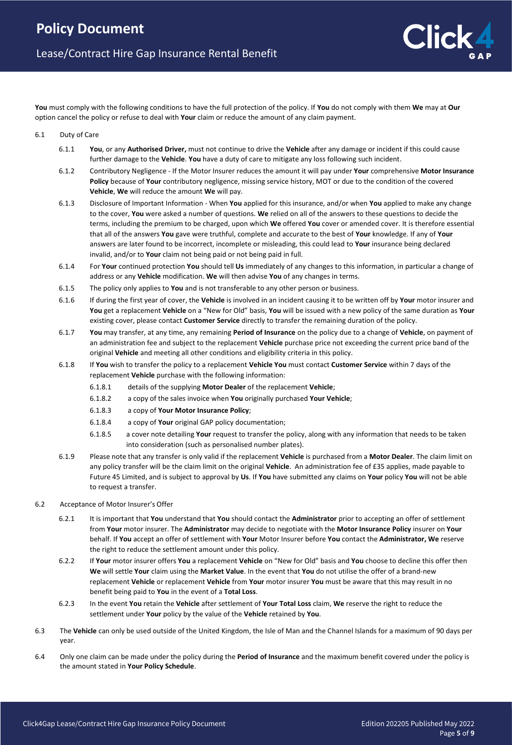**You** must comply with the following conditions to have the full protection of the policy. If **You** do not comply with them **We** may at **Our** option cancel the policy or refuse to deal with **Your** claim or reduce the amount of any claim payment.

### 6.1 Duty of Care

- 6.1.1 **You**, or any **Authorised Driver,** must not continue to drive the **Vehicle** after any damage or incident if this could cause further damage to the **Vehicle**. **You** have a duty of care to mitigate any loss following such incident.
- 6.1.2 Contributory Negligence If the Motor Insurer reduces the amount it will pay under **Your** comprehensive **Motor Insurance Policy** because of **Your** contributory negligence, missing service history, MOT or due to the condition of the covered **Vehicle**, **We** will reduce the amount **We** will pay.
- 6.1.3 Disclosure of Important Information When **You** applied for this insurance, and/or when **You** applied to make any change to the cover, **You** were asked a number of questions. **We** relied on all of the answers to these questions to decide the terms, including the premium to be charged, upon which **We** offered **You** cover or amended cover. It is therefore essential that all of the answers **You** gave were truthful, complete and accurate to the best of **Your** knowledge. If any of **Your** answers are later found to be incorrect, incomplete or misleading, this could lead to **Your** insurance being declared invalid, and/or to **Your** claim not being paid or not being paid in full.
- 6.1.4 For **Your** continued protection **You** should tell **Us** immediately of any changes to this information, in particular a change of address or any **Vehicle** modification. **We** will then advise **You** of any changes in terms.
- 6.1.5 The policy only applies to **You** and is not transferable to any other person or business.
- 6.1.6 If during the first year of cover, the **Vehicle** is involved in an incident causing it to be written off by **Your** motor insurer and **You** get a replacement **Vehicle** on a "New for Old" basis, **You** will be issued with a new policy of the same duration as **Your** existing cover, please contact **Customer Service** directly to transfer the remaining duration of the policy.
- 6.1.7 **You** may transfer, at any time, any remaining **Period of Insurance** on the policy due to a change of **Vehicle**, on payment of an administration fee and subject to the replacement **Vehicle** purchase price not exceeding the current price band of the original **Vehicle** and meeting all other conditions and eligibility criteria in this policy.
- 6.1.8 If **You** wish to transfer the policy to a replacement **Vehicle You** must contact **Customer Service** within 7 days of the replacement **Vehicle** purchase with the following information:
	- 6.1.8.1 details of the supplying **Motor Dealer** of the replacement **Vehicle**;
	- 6.1.8.2 a copy of the sales invoice when **You** originally purchased **Your Vehicle**;
	- 6.1.8.3 a copy of **Your Motor Insurance Policy**;
	- 6.1.8.4 a copy of **Your** original GAP policy documentation;
	- 6.1.8.5 a cover note detailing **Your** request to transfer the policy, along with any information that needs to be taken into consideration (such as personalised number plates).
- 6.1.9 Please note that any transfer is only valid if the replacement **Vehicle** is purchased from a **Motor Dealer**. The claim limit on any policy transfer will be the claim limit on the original **Vehicle**. An administration fee of £35 applies, made payable to Future 45 Limited, and is subject to approval by **Us**. If **You** have submitted any claims on **Your** policy **You** will not be able to request a transfer.
- 6.2 Acceptance of Motor Insurer's Offer
	- 6.2.1 It is important that **You** understand that **You** should contact the **Administrator** prior to accepting an offer of settlement from **Your** motor insurer. The **Administrator** may decide to negotiate with the **Motor Insurance Policy** insurer on **Your** behalf. If **You** accept an offer of settlement with **Your** Motor Insurer before **You** contact the **Administrator, We** reserve the right to reduce the settlement amount under this policy.
	- 6.2.2 If **Your** motor insurer offers **You** a replacement **Vehicle** on "New for Old" basis and **You** choose to decline this offer then **We** will settle **Your** claim using the **Market Value**. In the event that **You** do not utilise the offer of a brand-new replacement **Vehicle** or replacement **Vehicle** from **Your** motor insurer **You** must be aware that this may result in no benefit being paid to **You** in the event of a **Total Loss**.
	- 6.2.3 In the event **You** retain the **Vehicle** after settlement of **Your Total Loss** claim, **We** reserve the right to reduce the settlement under **Your** policy by the value of the **Vehicle** retained by **You**.
- 6.3 The **Vehicle** can only be used outside of the United Kingdom, the Isle of Man and the Channel Islands for a maximum of 90 days per year.
- 6.4 Only one claim can be made under the policy during the **Period of Insurance** and the maximum benefit covered under the policy is the amount stated in **Your Policy Schedule**.

**Click**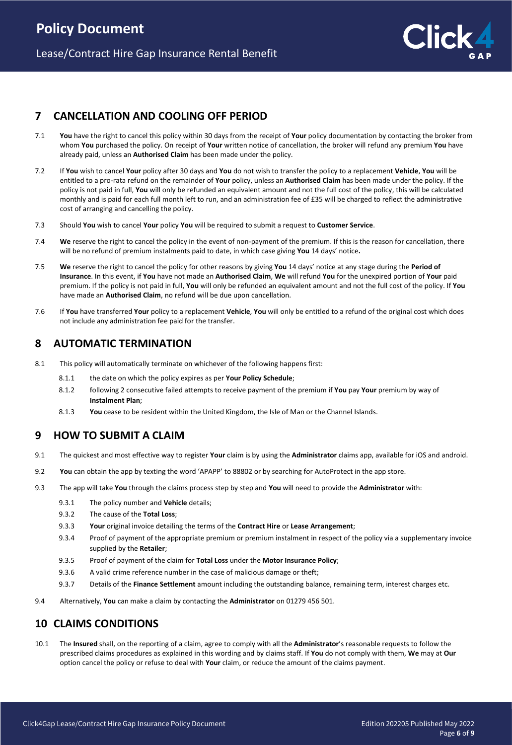

## **7 CANCELLATION AND COOLING OFF PERIOD**

- 7.1 **You** have the right to cancel this policy within 30 days from the receipt of **Your** policy documentation by contacting the broker from whom **You** purchased the policy. On receipt of **Your** written notice of cancellation, the broker will refund any premium **You** have already paid, unless an **Authorised Claim** has been made under the policy.
- 7.2 If **You** wish to cancel **Your** policy after 30 days and **You** do not wish to transfer the policy to a replacement **Vehicle**, **You** will be entitled to a pro-rata refund on the remainder of **Your** policy, unless an **Authorised Claim** has been made under the policy. If the policy is not paid in full, **You** will only be refunded an equivalent amount and not the full cost of the policy, this will be calculated monthly and is paid for each full month left to run, and an administration fee of £35 will be charged to reflect the administrative cost of arranging and cancelling the policy.
- 7.3 Should **You** wish to cancel **Your** policy **You** will be required to submit a request to **Customer Service**.
- 7.4 **We** reserve the right to cancel the policy in the event of non-payment of the premium. If this is the reason for cancellation, there will be no refund of premium instalments paid to date, in which case giving **You** 14 days' notice**.**
- 7.5 **We** reserve the right to cancel the policy for other reasons by giving **You** 14 days' notice at any stage during the **Period of Insurance**. In this event, if **You** have not made an **Authorised Claim**, **We** will refund **You** for the unexpired portion of **Your** paid premium. If the policy is not paid in full, **You** will only be refunded an equivalent amount and not the full cost of the policy. If **You** have made an **Authorised Claim**, no refund will be due upon cancellation.
- 7.6 If **You** have transferred **Your** policy to a replacement **Vehicle**, **You** will only be entitled to a refund of the original cost which does not include any administration fee paid for the transfer.

### **8 AUTOMATIC TERMINATION**

- 8.1 This policy will automatically terminate on whichever of the following happens first:
	- 8.1.1 the date on which the policy expires as per **Your Policy Schedule**;
	- 8.1.2 following 2 consecutive failed attempts to receive payment of the premium if **You** pay **Your** premium by way of **Instalment Plan**;
	- 8.1.3 **You** cease to be resident within the United Kingdom, the Isle of Man or the Channel Islands.

## **9 HOW TO SUBMIT A CLAIM**

- 9.1 The quickest and most effective way to register **Your** claim is by using the **Administrator** claims app, available for iOS and android.
- 9.2 **You** can obtain the app by texting the word 'APAPP' to 88802 or by searching for AutoProtect in the app store.
- 9.3 The app will take **You** through the claims process step by step and **You** will need to provide the **Administrator** with:
	- 9.3.1 The policy number and **Vehicle** details;
	- 9.3.2 The cause of the **Total Loss**;
	- 9.3.3 **Your** original invoice detailing the terms of the **Contract Hire** or **Lease Arrangement**;
	- 9.3.4 Proof of payment of the appropriate premium or premium instalment in respect of the policy via a supplementary invoice supplied by the **Retailer**;
	- 9.3.5 Proof of payment of the claim for **Total Loss** under the **Motor Insurance Policy**;
	- 9.3.6 A valid crime reference number in the case of malicious damage or theft;
	- 9.3.7 Details of the **Finance Settlement** amount including the outstanding balance, remaining term, interest charges etc.
- 9.4 Alternatively, **You** can make a claim by contacting the **Administrator** on 01279 456 501.

### **10 CLAIMS CONDITIONS**

10.1 The **Insured** shall, on the reporting of a claim, agree to comply with all the **Administrator**'s reasonable requests to follow the prescribed claims procedures as explained in this wording and by claims staff. If **You** do not comply with them, **We** may at **Our** option cancel the policy or refuse to deal with **Your** claim, or reduce the amount of the claims payment.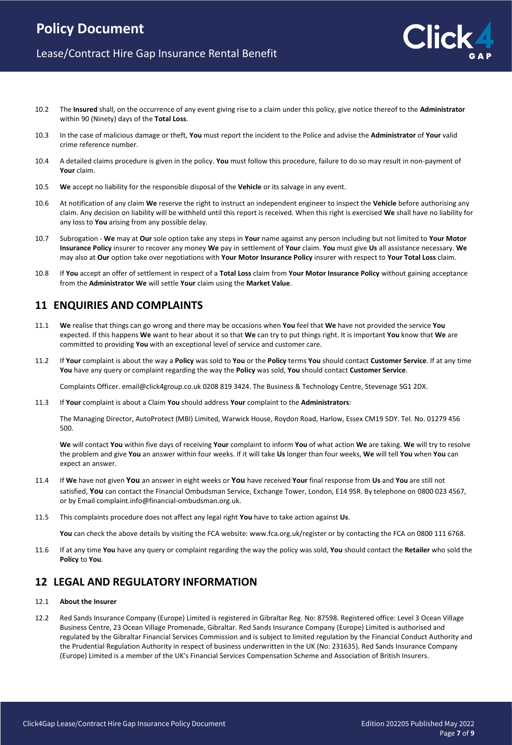- 10.2 The **Insured** shall, on the occurrence of any event giving rise to a claim under this policy, give notice thereof to the **Administrator** within 90 (Ninety) days of the **Total Loss**.
- 10.3 In the case of malicious damage or theft, **You** must report the incident to the Police and advise the **Administrator** of **Your** valid crime reference number.
- 10.4 A detailed claims procedure is given in the policy. **You** must follow this procedure, failure to do so may result in non-payment of **Your** claim.
- 10.5 **We** accept no liability for the responsible disposal of the **Vehicle** or its salvage in any event.
- 10.6 At notification of any claim **We** reserve the right to instruct an independent engineer to inspect the **Vehicle** before authorising any claim. Any decision on liability will be withheld until this report is received. When this right is exercised **We** shall have no liability for any loss to **You** arising from any possible delay.
- 10.7 Subrogation **We** may at **Our** sole option take any steps in **Your** name against any person including but not limited to **Your Motor Insurance Policy** insurer to recover any money **We** pay in settlement of **Your** claim. **You** must give **Us** all assistance necessary. **We** may also at **Our** option take over negotiations with **Your Motor Insurance Policy** insurer with respect to **Your Total Loss** claim.
- 10.8 If **You** accept an offer of settlement in respect of a **Total Loss** claim from **Your Motor Insurance Policy** without gaining acceptance from the **Administrator We** will settle **Your** claim using the **Market Value**.

## **11 ENQUIRIES AND COMPLAINTS**

- 11.1 **We** realise that things can go wrong and there may be occasions when **You** feel that **We** have not provided the service **You** expected. If this happens **We** want to hear about it so that **We** can try to put things right. It is important **You** know that **We** are committed to providing **You** with an exceptional level of service and customer care.
- 11.2 If **Your** complaint is about the way a **Policy** was sold to **You** or the **Policy** terms **You** should contact **Customer Service**. If at any time **You** have any query or complaint regarding the way the **Policy** was sold, **You** should contact **Customer Service**.

Complaints Officer. email@click4group.co.uk 0208 819 3424. The Business & Technology Centre, Stevenage SG1 2DX.

11.3 If **Your** complaint is about a Claim **You** should address **Your** complaint to the **Administrators**:

The Managing Director, AutoProtect (MBI) Limited, Warwick House, Roydon Road, Harlow, Essex CM19 5DY. Tel. No. 01279 456 500.

**We** will contact **You** within five days of receiving **Your** complaint to inform **You** of what action **We** are taking. **We** will try to resolve the problem and give **You** an answer within four weeks. If it will take **Us** longer than four weeks, **We** will tell **You** when **You** can expect an answer.

- 11.4 If **We** have not given **You** an answer in eight weeks or **You** have received **Your** final response from **Us** and **You** are still not satisfied, **You** can contact the Financial Ombudsman Service, Exchange Tower, London, E14 9SR. By telephone on 0800 023 4567, or by Email complaint.info@financial-ombudsman.org.uk.
- 11.5 This complaints procedure does not affect any legal right **You** have to take action against **Us**.

**You** can check the above details by visiting the FCA website: www.fca.org.uk/register or by contacting the FCA on 0800 111 6768.

11.6 If at any time **You** have any query or complaint regarding the way the policy was sold, **You** should contact the **Retailer** who sold the **Policy** to **You**.

# **12 LEGAL AND REGULATORY INFORMATION**

- 12.1 **About the Insurer**
- 12.2 Red Sands Insurance Company (Europe) Limited is registered in Gibraltar Reg. No: 87598. Registered office: Level 3 Ocean Village Business Centre, 23 Ocean Village Promenade, Gibraltar. Red Sands Insurance Company (Europe) Limited is authorised and regulated by the Gibraltar Financial Services Commission and is subject to limited regulation by the Financial Conduct Authority and the Prudential Regulation Authority in respect of business underwritten in the UK (No: 231635). Red Sands Insurance Company (Europe) Limited is a member of the UK's Financial Services Compensation Scheme and Association of British Insurers.

lick.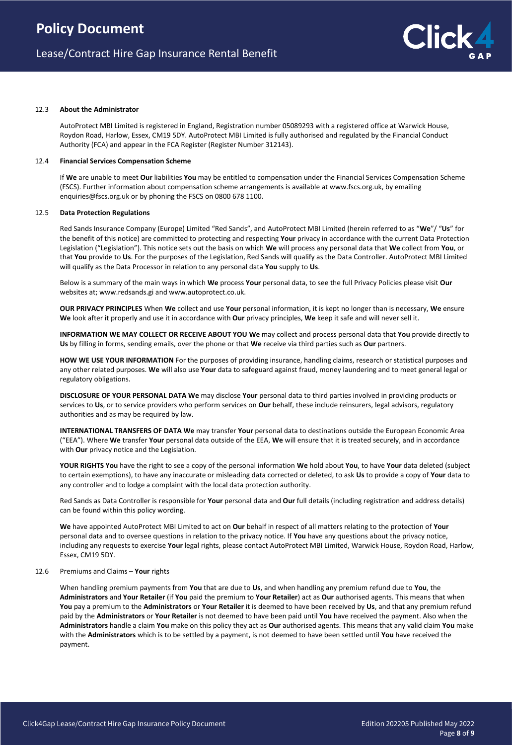#### 12.3 **About the Administrator**

AutoProtect MBI Limited is registered in England, Registration number 05089293 with a registered office at Warwick House, Roydon Road, Harlow, Essex, CM19 5DY. AutoProtect MBI Limited is fully authorised and regulated by the Financial Conduct Authority (FCA) and appear in the FCA Register (Register Number 312143).

#### 12.4 **Financial Services Compensation Scheme**

If **We** are unable to meet **Our** liabilities **You** may be entitled to compensation under the Financial Services Compensation Scheme (FSCS). Further information about compensation scheme arrangements is available at www.fscs.org.uk, by emailing enquiries@fscs.org.uk or by phoning the FSCS on 0800 678 1100.

#### 12.5 **Data Protection Regulations**

Red Sands Insurance Company (Europe) Limited "Red Sands", and AutoProtect MBI Limited (herein referred to as "**We**"/ "**Us**" for the benefit of this notice) are committed to protecting and respecting **Your** privacy in accordance with the current Data Protection Legislation ("Legislation"). This notice sets out the basis on which **We** will process any personal data that **We** collect from **You**, or that **You** provide to **Us**. For the purposes of the Legislation, Red Sands will qualify as the Data Controller. AutoProtect MBI Limited will qualify as the Data Processor in relation to any personal data **You** supply to **Us**.

Below is a summary of the main ways in which **We** process **Your** personal data, to see the full Privacy Policies please visit **Our** websites at; www.redsands.gi and www.autoprotect.co.uk.

**OUR PRIVACY PRINCIPLES** When **We** collect and use **Your** personal information, it is kept no longer than is necessary, **We** ensure **We** look after it properly and use it in accordance with **Our** privacy principles, **We** keep it safe and will never sell it.

**INFORMATION WE MAY COLLECT OR RECEIVE ABOUT YOU We** may collect and process personal data that **You** provide directly to **Us** by filling in forms, sending emails, over the phone or that **We** receive via third parties such as **Our** partners.

**HOW WE USE YOUR INFORMATION** For the purposes of providing insurance, handling claims, research or statistical purposes and any other related purposes. **We** will also use **Your** data to safeguard against fraud, money laundering and to meet general legal or regulatory obligations.

**DISCLOSURE OF YOUR PERSONAL DATA We** may disclose **Your** personal data to third parties involved in providing products or services to **Us**, or to service providers who perform services on **Our** behalf, these include reinsurers, legal advisors, regulatory authorities and as may be required by law.

**INTERNATIONAL TRANSFERS OF DATA We** may transfer **Your** personal data to destinations outside the European Economic Area ("EEA"). Where **We** transfer **Your** personal data outside of the EEA, **We** will ensure that it is treated securely, and in accordance with **Our** privacy notice and the Legislation.

**YOUR RIGHTS You** have the right to see a copy of the personal information **We** hold about **You**, to have **Your** data deleted (subject to certain exemptions), to have any inaccurate or misleading data corrected or deleted, to ask **Us** to provide a copy of **Your** data to any controller and to lodge a complaint with the local data protection authority.

Red Sands as Data Controller is responsible for **Your** personal data and **Our** full details (including registration and address details) can be found within this policy wording.

**We** have appointed AutoProtect MBI Limited to act on **Our** behalf in respect of all matters relating to the protection of **Your** personal data and to oversee questions in relation to the privacy notice. If **You** have any questions about the privacy notice, including any requests to exercise **Your** legal rights, please contact AutoProtect MBI Limited, Warwick House, Roydon Road, Harlow, Essex, CM19 5DY.

#### 12.6 Premiums and Claims – **Your** rights

When handling premium payments from **You** that are due to **Us**, and when handling any premium refund due to **You**, the **Administrators** and **Your Retailer** (if **You** paid the premium to **Your Retailer**) act as **Our** authorised agents. This means that when **You** pay a premium to the **Administrators** or **Your Retailer** it is deemed to have been received by **Us**, and that any premium refund paid by the **Administrators** or **Your Retailer** is not deemed to have been paid until **You** have received the payment. Also when the **Administrators** handle a claim **You** make on this policy they act as **Our** authorised agents. This means that any valid claim **You** make with the **Administrators** which is to be settled by a payment, is not deemed to have been settled until **You** have received the payment.